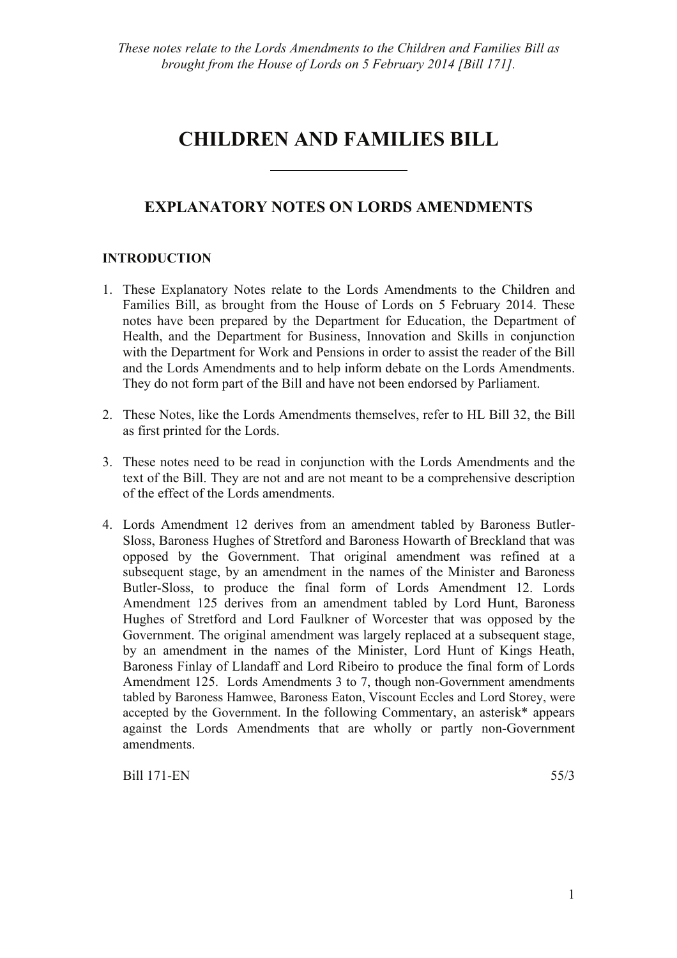# **CHILDREN AND FAMILIES BILL**

# **EXPLANATORY NOTES ON LORDS AMENDMENTS**

# **INTRODUCTION**

- 1. These Explanatory Notes relate to the Lords Amendments to the Children and Families Bill, as brought from the House of Lords on 5 February 2014. These notes have been prepared by the Department for Education, the Department of Health, and the Department for Business, Innovation and Skills in conjunction with the Department for Work and Pensions in order to assist the reader of the Bill and the Lords Amendments and to help inform debate on the Lords Amendments. They do not form part of the Bill and have not been endorsed by Parliament.
- 2. These Notes, like the Lords Amendments themselves, refer to HL Bill 32, the Bill as first printed for the Lords.
- 3. These notes need to be read in conjunction with the Lords Amendments and the text of the Bill. They are not and are not meant to be a comprehensive description of the effect of the Lords amendments.
- 4. Lords Amendment 12 derives from an amendment tabled by Baroness Butler-Sloss, Baroness Hughes of Stretford and Baroness Howarth of Breckland that was opposed by the Government. That original amendment was refined at a subsequent stage, by an amendment in the names of the Minister and Baroness Butler-Sloss, to produce the final form of Lords Amendment 12. Lords Amendment 125 derives from an amendment tabled by Lord Hunt, Baroness Hughes of Stretford and Lord Faulkner of Worcester that was opposed by the Government. The original amendment was largely replaced at a subsequent stage, by an amendment in the names of the Minister, Lord Hunt of Kings Heath, Baroness Finlay of Llandaff and Lord Ribeiro to produce the final form of Lords Amendment 125. Lords Amendments 3 to 7, though non-Government amendments tabled by Baroness Hamwee, Baroness Eaton, Viscount Eccles and Lord Storey, were accepted by the Government. In the following Commentary, an asterisk\* appears against the Lords Amendments that are wholly or partly non-Government amendments.

Bill 171-EN 55/3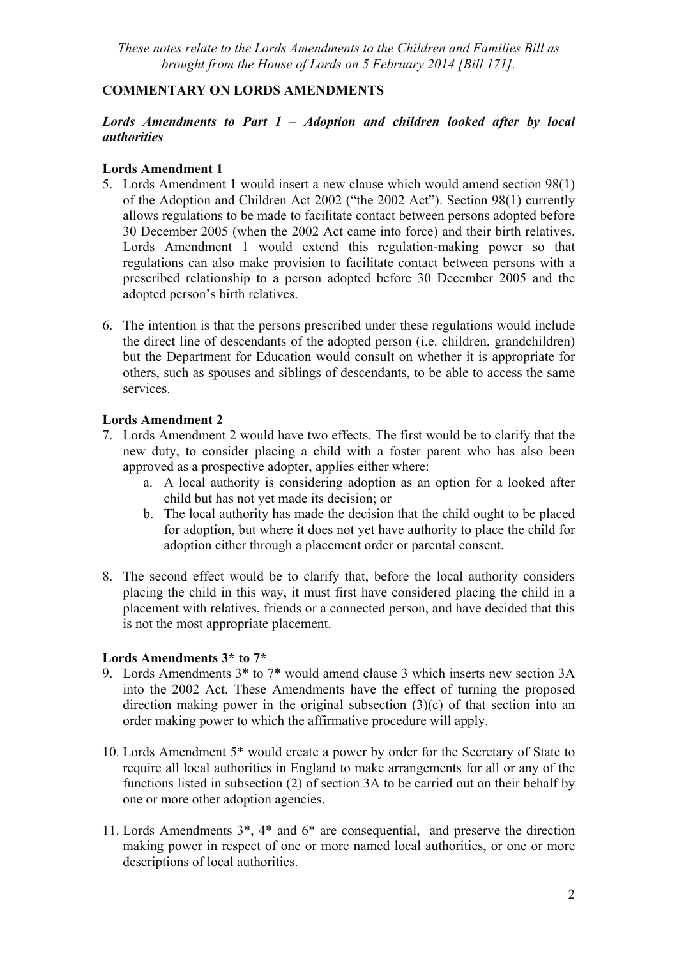# **COMMENTARY ON LORDS AMENDMENTS**

# *Lords Amendments to Part 1 – Adoption and children looked after by local authorities*

# **Lords Amendment 1**

- 5. Lords Amendment 1 would insert a new clause which would amend section 98(1) of the Adoption and Children Act 2002 ("the 2002 Act"). Section 98(1) currently allows regulations to be made to facilitate contact between persons adopted before 30 December 2005 (when the 2002 Act came into force) and their birth relatives. Lords Amendment 1 would extend this regulation-making power so that regulations can also make provision to facilitate contact between persons with a prescribed relationship to a person adopted before 30 December 2005 and the adopted person's birth relatives.
- 6. The intention is that the persons prescribed under these regulations would include the direct line of descendants of the adopted person (i.e. children, grandchildren) but the Department for Education would consult on whether it is appropriate for others, such as spouses and siblings of descendants, to be able to access the same services.

# **Lords Amendment 2**

- 7. Lords Amendment 2 would have two effects. The first would be to clarify that the new duty, to consider placing a child with a foster parent who has also been approved as a prospective adopter, applies either where:
	- a. A local authority is considering adoption as an option for a looked after child but has not yet made its decision; or
	- b. The local authority has made the decision that the child ought to be placed for adoption, but where it does not yet have authority to place the child for adoption either through a placement order or parental consent.
- 8. The second effect would be to clarify that, before the local authority considers placing the child in this way, it must first have considered placing the child in a placement with relatives, friends or a connected person, and have decided that this is not the most appropriate placement.

# **Lords Amendments 3\* to 7\***

- 9. Lords Amendments 3\* to 7\* would amend clause 3 which inserts new section 3A into the 2002 Act. These Amendments have the effect of turning the proposed direction making power in the original subsection (3)(c) of that section into an order making power to which the affirmative procedure will apply.
- 10. Lords Amendment 5\* would create a power by order for the Secretary of State to require all local authorities in England to make arrangements for all or any of the functions listed in subsection (2) of section 3A to be carried out on their behalf by one or more other adoption agencies.
- 11. Lords Amendments 3\*, 4\* and 6\* are consequential, and preserve the direction making power in respect of one or more named local authorities, or one or more descriptions of local authorities.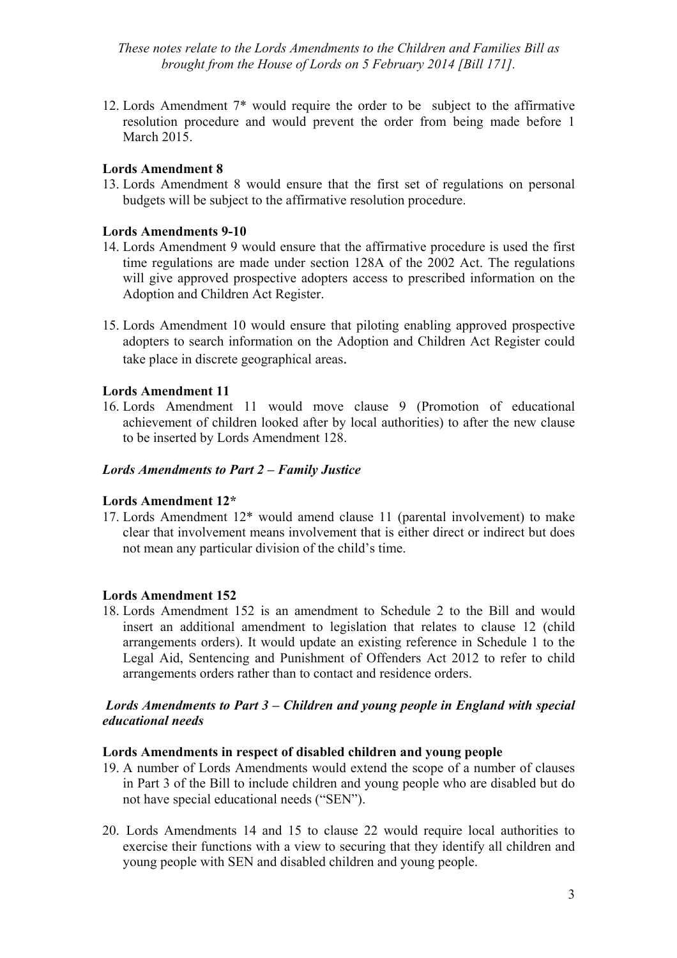12. Lords Amendment 7\* would require the order to be subject to the affirmative resolution procedure and would prevent the order from being made before 1 March 2015.

#### **Lords Amendment 8**

13. Lords Amendment 8 would ensure that the first set of regulations on personal budgets will be subject to the affirmative resolution procedure.

#### **Lords Amendments 9-10**

- 14. Lords Amendment 9 would ensure that the affirmative procedure is used the first time regulations are made under section 128A of the 2002 Act. The regulations will give approved prospective adopters access to prescribed information on the Adoption and Children Act Register.
- 15. Lords Amendment 10 would ensure that piloting enabling approved prospective adopters to search information on the Adoption and Children Act Register could take place in discrete geographical areas.

#### **Lords Amendment 11**

16. Lords Amendment 11 would move clause 9 (Promotion of educational achievement of children looked after by local authorities) to after the new clause to be inserted by Lords Amendment 128.

#### *Lords Amendments to Part 2 – Family Justice*

#### **Lords Amendment 12\***

17. Lords Amendment 12\* would amend clause 11 (parental involvement) to make clear that involvement means involvement that is either direct or indirect but does not mean any particular division of the child's time.

#### **Lords Amendment 152**

18. Lords Amendment 152 is an amendment to Schedule 2 to the Bill and would insert an additional amendment to legislation that relates to clause 12 (child arrangements orders). It would update an existing reference in Schedule 1 to the Legal Aid, Sentencing and Punishment of Offenders Act 2012 to refer to child arrangements orders rather than to contact and residence orders.

#### *Lords Amendments to Part 3 – Children and young people in England with special educational needs*

#### **Lords Amendments in respect of disabled children and young people**

- 19. A number of Lords Amendments would extend the scope of a number of clauses in Part 3 of the Bill to include children and young people who are disabled but do not have special educational needs ("SEN").
- 20. Lords Amendments 14 and 15 to clause 22 would require local authorities to exercise their functions with a view to securing that they identify all children and young people with SEN and disabled children and young people.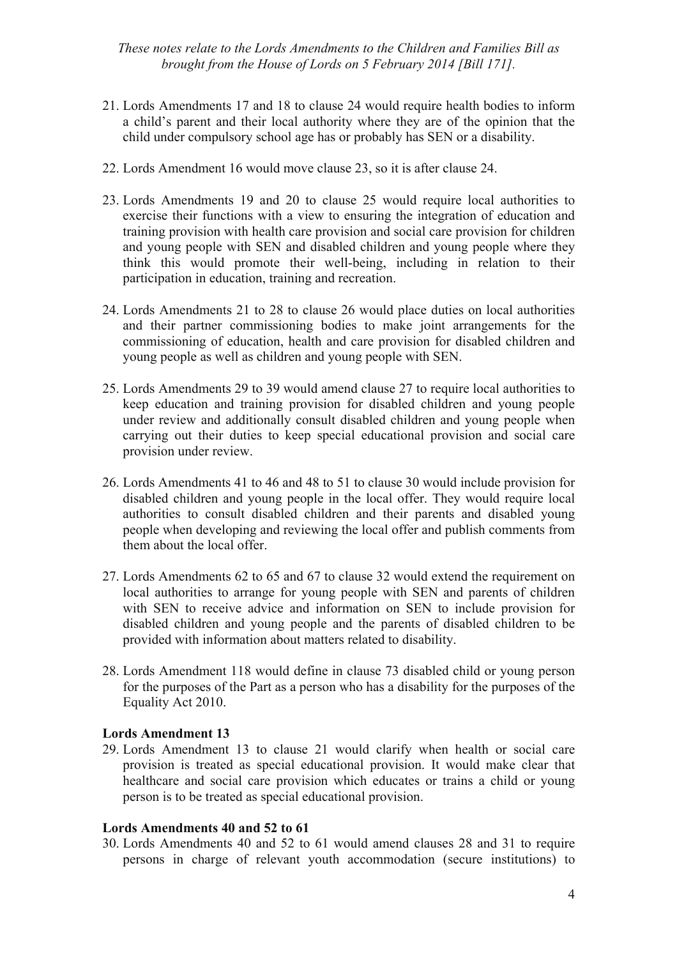- 21. Lords Amendments 17 and 18 to clause 24 would require health bodies to inform a child's parent and their local authority where they are of the opinion that the child under compulsory school age has or probably has SEN or a disability.
- 22. Lords Amendment 16 would move clause 23, so it is after clause 24.
- 23. Lords Amendments 19 and 20 to clause 25 would require local authorities to exercise their functions with a view to ensuring the integration of education and training provision with health care provision and social care provision for children and young people with SEN and disabled children and young people where they think this would promote their well-being, including in relation to their participation in education, training and recreation.
- 24. Lords Amendments 21 to 28 to clause 26 would place duties on local authorities and their partner commissioning bodies to make joint arrangements for the commissioning of education, health and care provision for disabled children and young people as well as children and young people with SEN.
- 25. Lords Amendments 29 to 39 would amend clause 27 to require local authorities to keep education and training provision for disabled children and young people under review and additionally consult disabled children and young people when carrying out their duties to keep special educational provision and social care provision under review.
- 26. Lords Amendments 41 to 46 and 48 to 51 to clause 30 would include provision for disabled children and young people in the local offer. They would require local authorities to consult disabled children and their parents and disabled young people when developing and reviewing the local offer and publish comments from them about the local offer.
- 27. Lords Amendments 62 to 65 and 67 to clause 32 would extend the requirement on local authorities to arrange for young people with SEN and parents of children with SEN to receive advice and information on SEN to include provision for disabled children and young people and the parents of disabled children to be provided with information about matters related to disability.
- 28. Lords Amendment 118 would define in clause 73 disabled child or young person for the purposes of the Part as a person who has a disability for the purposes of the Equality Act 2010.

#### **Lords Amendment 13**

29. Lords Amendment 13 to clause 21 would clarify when health or social care provision is treated as special educational provision. It would make clear that healthcare and social care provision which educates or trains a child or young person is to be treated as special educational provision.

#### **Lords Amendments 40 and 52 to 61**

30. Lords Amendments 40 and 52 to 61 would amend clauses 28 and 31 to require persons in charge of relevant youth accommodation (secure institutions) to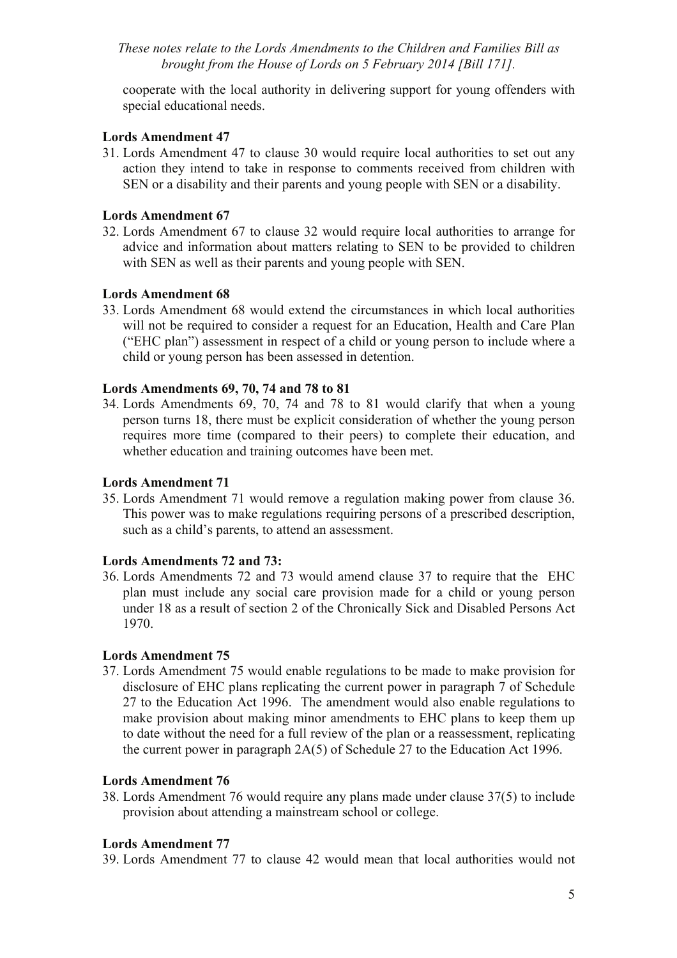cooperate with the local authority in delivering support for young offenders with special educational needs.

#### **Lords Amendment 47**

31. Lords Amendment 47 to clause 30 would require local authorities to set out any action they intend to take in response to comments received from children with SEN or a disability and their parents and young people with SEN or a disability.

#### **Lords Amendment 67**

32. Lords Amendment 67 to clause 32 would require local authorities to arrange for advice and information about matters relating to SEN to be provided to children with SEN as well as their parents and young people with SEN.

#### **Lords Amendment 68**

33. Lords Amendment 68 would extend the circumstances in which local authorities will not be required to consider a request for an Education, Health and Care Plan ("EHC plan") assessment in respect of a child or young person to include where a child or young person has been assessed in detention.

#### **Lords Amendments 69, 70, 74 and 78 to 81**

34. Lords Amendments 69, 70, 74 and 78 to 81 would clarify that when a young person turns 18, there must be explicit consideration of whether the young person requires more time (compared to their peers) to complete their education, and whether education and training outcomes have been met.

#### **Lords Amendment 71**

35. Lords Amendment 71 would remove a regulation making power from clause 36. This power was to make regulations requiring persons of a prescribed description, such as a child's parents, to attend an assessment.

# **Lords Amendments 72 and 73:**

36. Lords Amendments 72 and 73 would amend clause 37 to require that the EHC plan must include any social care provision made for a child or young person under 18 as a result of section 2 of the Chronically Sick and Disabled Persons Act 1970.

#### **Lords Amendment 75**

37. Lords Amendment 75 would enable regulations to be made to make provision for disclosure of EHC plans replicating the current power in paragraph 7 of Schedule 27 to the Education Act 1996. The amendment would also enable regulations to make provision about making minor amendments to EHC plans to keep them up to date without the need for a full review of the plan or a reassessment, replicating the current power in paragraph 2A(5) of Schedule 27 to the Education Act 1996.

#### **Lords Amendment 76**

38. Lords Amendment 76 would require any plans made under clause 37(5) to include provision about attending a mainstream school or college.

#### **Lords Amendment 77**

39. Lords Amendment 77 to clause 42 would mean that local authorities would not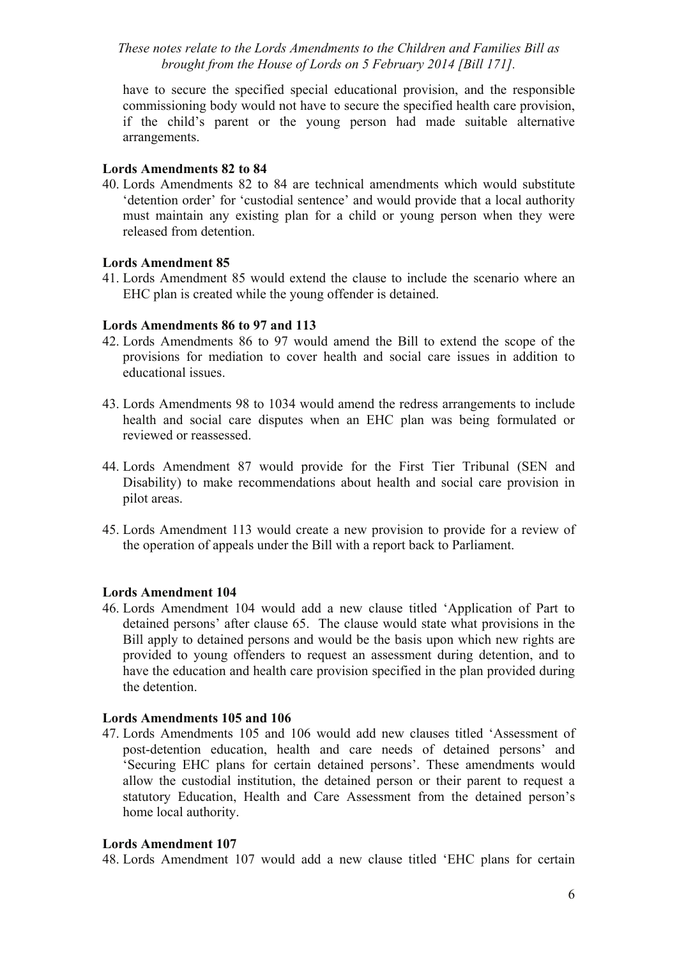have to secure the specified special educational provision, and the responsible commissioning body would not have to secure the specified health care provision, if the child's parent or the young person had made suitable alternative arrangements.

#### **Lords Amendments 82 to 84**

40. Lords Amendments 82 to 84 are technical amendments which would substitute 'detention order' for 'custodial sentence' and would provide that a local authority must maintain any existing plan for a child or young person when they were released from detention.

#### **Lords Amendment 85**

41. Lords Amendment 85 would extend the clause to include the scenario where an EHC plan is created while the young offender is detained.

#### **Lords Amendments 86 to 97 and 113**

- 42. Lords Amendments 86 to 97 would amend the Bill to extend the scope of the provisions for mediation to cover health and social care issues in addition to educational issues.
- 43. Lords Amendments 98 to 1034 would amend the redress arrangements to include health and social care disputes when an EHC plan was being formulated or reviewed or reassessed.
- 44. Lords Amendment 87 would provide for the First Tier Tribunal (SEN and Disability) to make recommendations about health and social care provision in pilot areas.
- 45. Lords Amendment 113 would create a new provision to provide for a review of the operation of appeals under the Bill with a report back to Parliament.

#### **Lords Amendment 104**

46. Lords Amendment 104 would add a new clause titled 'Application of Part to detained persons' after clause 65. The clause would state what provisions in the Bill apply to detained persons and would be the basis upon which new rights are provided to young offenders to request an assessment during detention, and to have the education and health care provision specified in the plan provided during the detention.

#### **Lords Amendments 105 and 106**

47. Lords Amendments 105 and 106 would add new clauses titled 'Assessment of post-detention education, health and care needs of detained persons' and 'Securing EHC plans for certain detained persons'. These amendments would allow the custodial institution, the detained person or their parent to request a statutory Education, Health and Care Assessment from the detained person's home local authority.

#### **Lords Amendment 107**

48. Lords Amendment 107 would add a new clause titled 'EHC plans for certain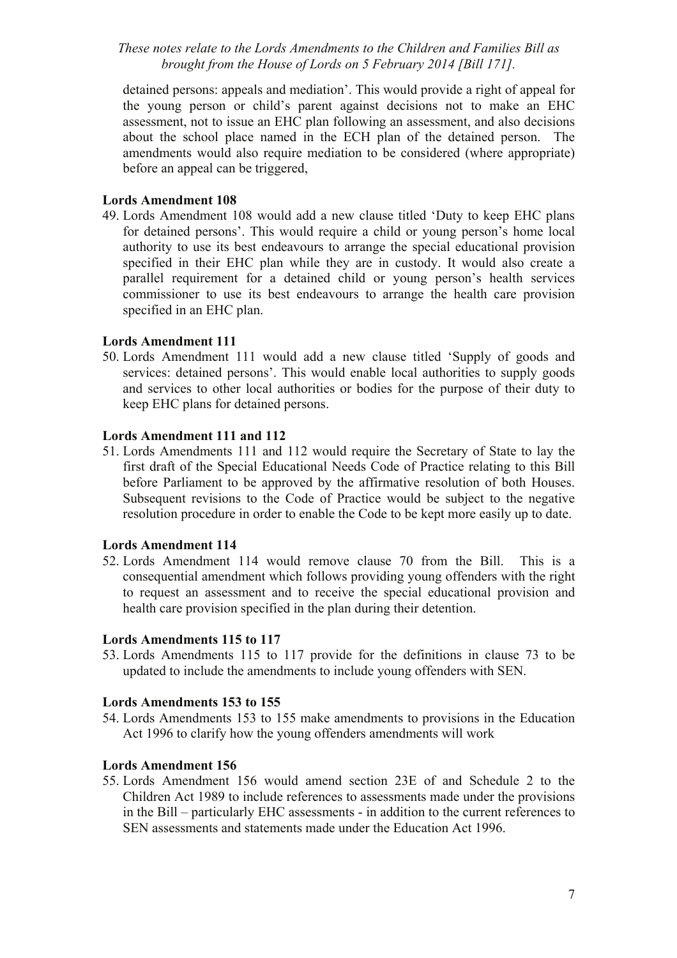detained persons: appeals and mediation'. This would provide a right of appeal for the young person or child's parent against decisions not to make an EHC assessment, not to issue an EHC plan following an assessment, and also decisions about the school place named in the ECH plan of the detained person. The amendments would also require mediation to be considered (where appropriate) before an appeal can be triggered,

#### **Lords Amendment 108**

49. Lords Amendment 108 would add a new clause titled 'Duty to keep EHC plans for detained persons'. This would require a child or young person's home local authority to use its best endeavours to arrange the special educational provision specified in their EHC plan while they are in custody. It would also create a parallel requirement for a detained child or young person's health services commissioner to use its best endeavours to arrange the health care provision specified in an EHC plan.

#### **Lords Amendment 111**

50. Lords Amendment 111 would add a new clause titled 'Supply of goods and services: detained persons'. This would enable local authorities to supply goods and services to other local authorities or bodies for the purpose of their duty to keep EHC plans for detained persons.

#### **Lords Amendment 111 and 112**

51. Lords Amendments 111 and 112 would require the Secretary of State to lay the first draft of the Special Educational Needs Code of Practice relating to this Bill before Parliament to be approved by the affirmative resolution of both Houses. Subsequent revisions to the Code of Practice would be subject to the negative resolution procedure in order to enable the Code to be kept more easily up to date.

#### **Lords Amendment 114**

52. Lords Amendment 114 would remove clause 70 from the Bill. This is a consequential amendment which follows providing young offenders with the right to request an assessment and to receive the special educational provision and health care provision specified in the plan during their detention.

#### **Lords Amendments 115 to 117**

53. Lords Amendments 115 to 117 provide for the definitions in clause 73 to be updated to include the amendments to include young offenders with SEN.

#### **Lords Amendments 153 to 155**

54. Lords Amendments 153 to 155 make amendments to provisions in the Education Act 1996 to clarify how the young offenders amendments will work

# **Lords Amendment 156**

55. Lords Amendment 156 would amend section 23E of and Schedule 2 to the Children Act 1989 to include references to assessments made under the provisions in the Bill – particularly EHC assessments - in addition to the current references to SEN assessments and statements made under the Education Act 1996.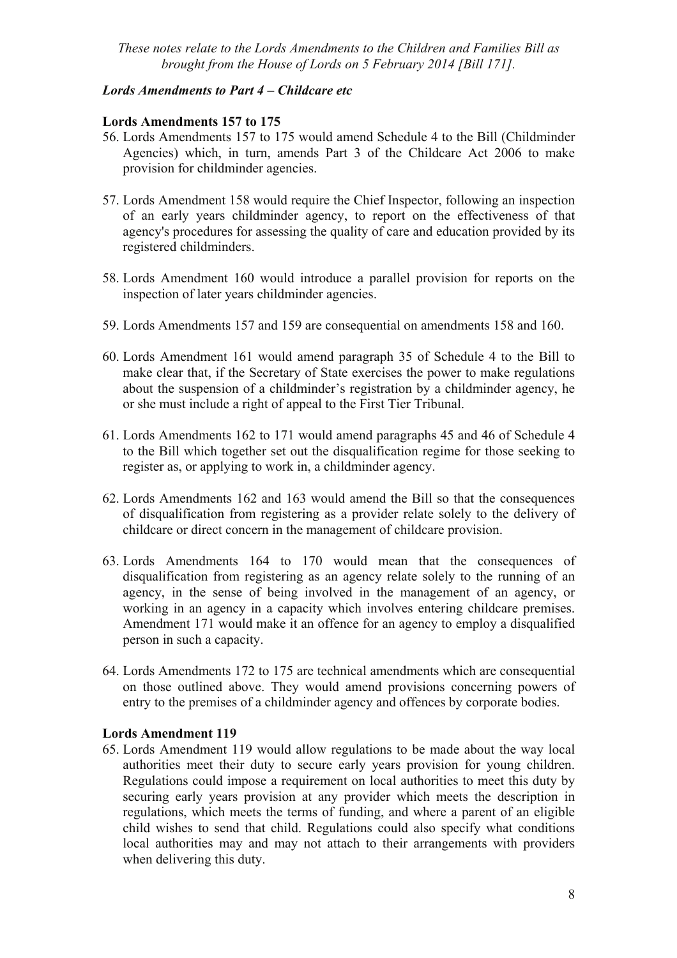#### *Lords Amendments to Part 4 – Childcare etc*

#### **Lords Amendments 157 to 175**

- 56. Lords Amendments 157 to 175 would amend Schedule 4 to the Bill (Childminder Agencies) which, in turn, amends Part 3 of the Childcare Act 2006 to make provision for childminder agencies.
- 57. Lords Amendment 158 would require the Chief Inspector, following an inspection of an early years childminder agency, to report on the effectiveness of that agency's procedures for assessing the quality of care and education provided by its registered childminders.
- 58. Lords Amendment 160 would introduce a parallel provision for reports on the inspection of later years childminder agencies.
- 59. Lords Amendments 157 and 159 are consequential on amendments 158 and 160.
- 60. Lords Amendment 161 would amend paragraph 35 of Schedule 4 to the Bill to make clear that, if the Secretary of State exercises the power to make regulations about the suspension of a childminder's registration by a childminder agency, he or she must include a right of appeal to the First Tier Tribunal.
- 61. Lords Amendments 162 to 171 would amend paragraphs 45 and 46 of Schedule 4 to the Bill which together set out the disqualification regime for those seeking to register as, or applying to work in, a childminder agency.
- 62. Lords Amendments 162 and 163 would amend the Bill so that the consequences of disqualification from registering as a provider relate solely to the delivery of childcare or direct concern in the management of childcare provision.
- 63. Lords Amendments 164 to 170 would mean that the consequences of disqualification from registering as an agency relate solely to the running of an agency, in the sense of being involved in the management of an agency, or working in an agency in a capacity which involves entering childcare premises. Amendment 171 would make it an offence for an agency to employ a disqualified person in such a capacity.
- 64. Lords Amendments 172 to 175 are technical amendments which are consequential on those outlined above. They would amend provisions concerning powers of entry to the premises of a childminder agency and offences by corporate bodies.

#### **Lords Amendment 119**

65. Lords Amendment 119 would allow regulations to be made about the way local authorities meet their duty to secure early years provision for young children. Regulations could impose a requirement on local authorities to meet this duty by securing early years provision at any provider which meets the description in regulations, which meets the terms of funding, and where a parent of an eligible child wishes to send that child. Regulations could also specify what conditions local authorities may and may not attach to their arrangements with providers when delivering this duty.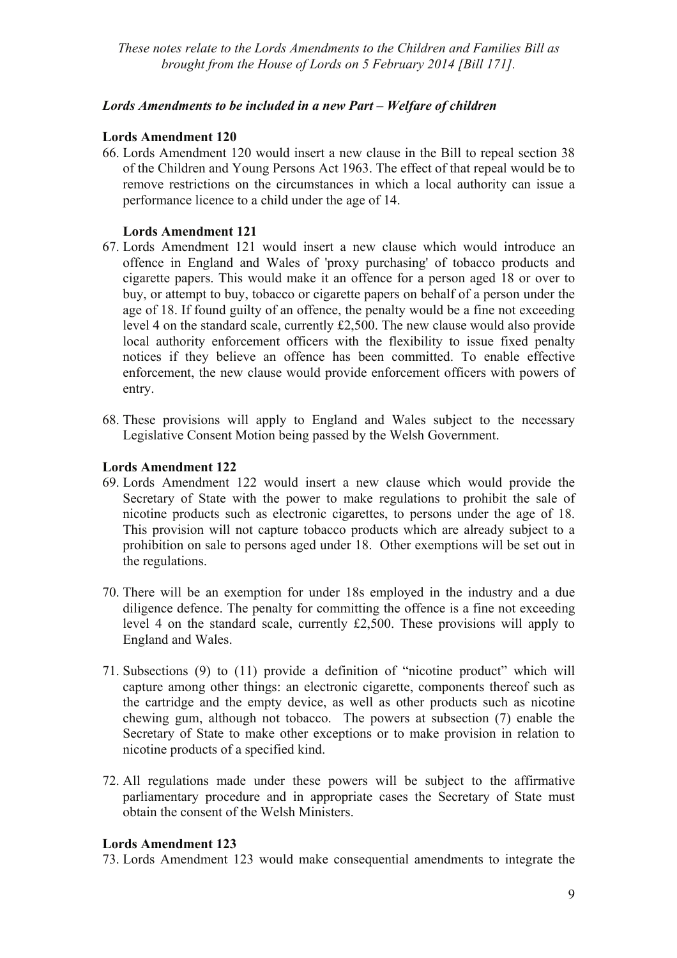# *Lords Amendments to be included in a new Part – Welfare of children*

#### **Lords Amendment 120**

66. Lords Amendment 120 would insert a new clause in the Bill to repeal section 38 of the Children and Young Persons Act 1963. The effect of that repeal would be to remove restrictions on the circumstances in which a local authority can issue a performance licence to a child under the age of 14.

#### **Lords Amendment 121**

- 67. Lords Amendment 121 would insert a new clause which would introduce an offence in England and Wales of 'proxy purchasing' of tobacco products and cigarette papers. This would make it an offence for a person aged 18 or over to buy, or attempt to buy, tobacco or cigarette papers on behalf of a person under the age of 18. If found guilty of an offence, the penalty would be a fine not exceeding level 4 on the standard scale, currently £2,500. The new clause would also provide local authority enforcement officers with the flexibility to issue fixed penalty notices if they believe an offence has been committed. To enable effective enforcement, the new clause would provide enforcement officers with powers of entry.
- 68. These provisions will apply to England and Wales subject to the necessary Legislative Consent Motion being passed by the Welsh Government.

#### **Lords Amendment 122**

- 69. Lords Amendment 122 would insert a new clause which would provide the Secretary of State with the power to make regulations to prohibit the sale of nicotine products such as electronic cigarettes, to persons under the age of 18. This provision will not capture tobacco products which are already subject to a prohibition on sale to persons aged under 18. Other exemptions will be set out in the regulations.
- 70. There will be an exemption for under 18s employed in the industry and a due diligence defence. The penalty for committing the offence is a fine not exceeding level 4 on the standard scale, currently £2,500. These provisions will apply to England and Wales.
- 71. Subsections (9) to (11) provide a definition of "nicotine product" which will capture among other things: an electronic cigarette, components thereof such as the cartridge and the empty device, as well as other products such as nicotine chewing gum, although not tobacco. The powers at subsection (7) enable the Secretary of State to make other exceptions or to make provision in relation to nicotine products of a specified kind.
- 72. All regulations made under these powers will be subject to the affirmative parliamentary procedure and in appropriate cases the Secretary of State must obtain the consent of the Welsh Ministers.

#### **Lords Amendment 123**

73. Lords Amendment 123 would make consequential amendments to integrate the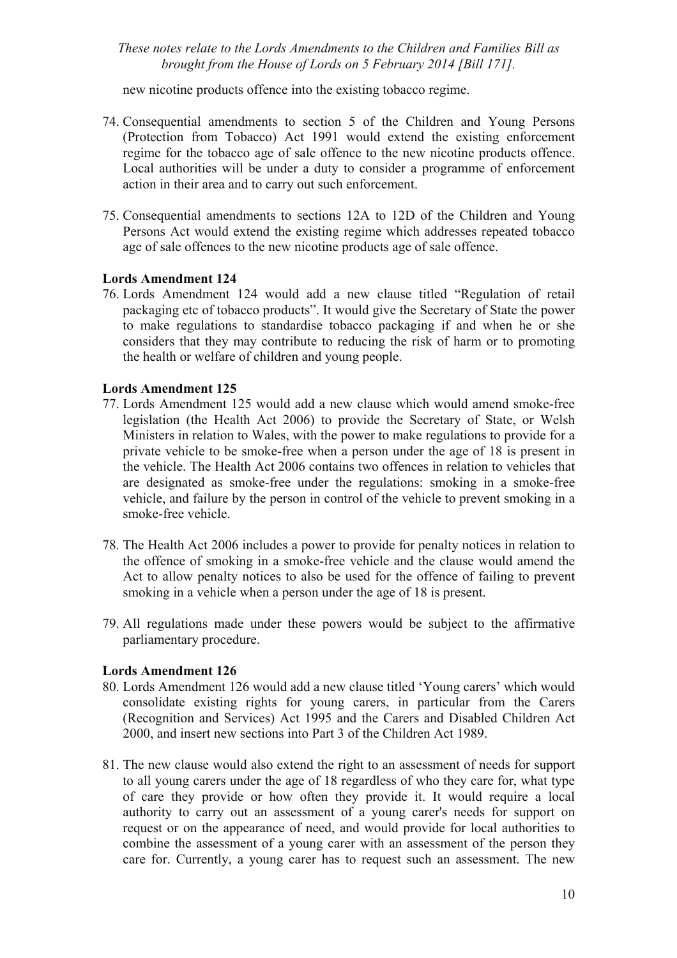new nicotine products offence into the existing tobacco regime.

- 74. Consequential amendments to section 5 of the Children and Young Persons (Protection from Tobacco) Act 1991 would extend the existing enforcement regime for the tobacco age of sale offence to the new nicotine products offence. Local authorities will be under a duty to consider a programme of enforcement action in their area and to carry out such enforcement.
- 75. Consequential amendments to sections 12A to 12D of the Children and Young Persons Act would extend the existing regime which addresses repeated tobacco age of sale offences to the new nicotine products age of sale offence.

#### **Lords Amendment 124**

76. Lords Amendment 124 would add a new clause titled "Regulation of retail packaging etc of tobacco products". It would give the Secretary of State the power to make regulations to standardise tobacco packaging if and when he or she considers that they may contribute to reducing the risk of harm or to promoting the health or welfare of children and young people.

#### **Lords Amendment 125**

- 77. Lords Amendment 125 would add a new clause which would amend smoke-free legislation (the Health Act 2006) to provide the Secretary of State, or Welsh Ministers in relation to Wales, with the power to make regulations to provide for a private vehicle to be smoke-free when a person under the age of 18 is present in the vehicle. The Health Act 2006 contains two offences in relation to vehicles that are designated as smoke-free under the regulations: smoking in a smoke-free vehicle, and failure by the person in control of the vehicle to prevent smoking in a smoke-free vehicle.
- 78. The Health Act 2006 includes a power to provide for penalty notices in relation to the offence of smoking in a smoke-free vehicle and the clause would amend the Act to allow penalty notices to also be used for the offence of failing to prevent smoking in a vehicle when a person under the age of 18 is present.
- 79. All regulations made under these powers would be subject to the affirmative parliamentary procedure.

#### **Lords Amendment 126**

- 80. Lords Amendment 126 would add a new clause titled 'Young carers' which would consolidate existing rights for young carers, in particular from the Carers (Recognition and Services) Act 1995 and the Carers and Disabled Children Act 2000, and insert new sections into Part 3 of the Children Act 1989.
- 81. The new clause would also extend the right to an assessment of needs for support to all young carers under the age of 18 regardless of who they care for, what type of care they provide or how often they provide it. It would require a local authority to carry out an assessment of a young carer's needs for support on request or on the appearance of need, and would provide for local authorities to combine the assessment of a young carer with an assessment of the person they care for. Currently, a young carer has to request such an assessment. The new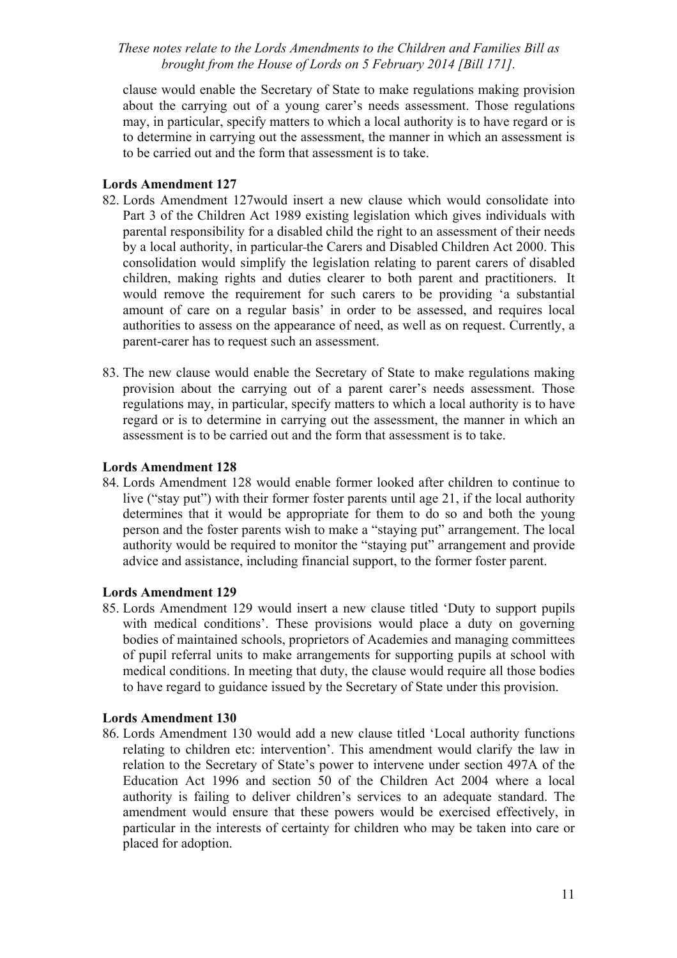clause would enable the Secretary of State to make regulations making provision about the carrying out of a young carer's needs assessment. Those regulations may, in particular, specify matters to which a local authority is to have regard or is to determine in carrying out the assessment, the manner in which an assessment is to be carried out and the form that assessment is to take.

#### **Lords Amendment 127**

- 82. Lords Amendment 127would insert a new clause which would consolidate into Part 3 of the Children Act 1989 existing legislation which gives individuals with parental responsibility for a disabled child the right to an assessment of their needs by a local authority, in particular the Carers and Disabled Children Act 2000. This consolidation would simplify the legislation relating to parent carers of disabled children, making rights and duties clearer to both parent and practitioners. It would remove the requirement for such carers to be providing 'a substantial amount of care on a regular basis' in order to be assessed, and requires local authorities to assess on the appearance of need, as well as on request. Currently, a parent-carer has to request such an assessment.
- 83. The new clause would enable the Secretary of State to make regulations making provision about the carrying out of a parent carer's needs assessment. Those regulations may, in particular, specify matters to which a local authority is to have regard or is to determine in carrying out the assessment, the manner in which an assessment is to be carried out and the form that assessment is to take.

#### **Lords Amendment 128**

84. Lords Amendment 128 would enable former looked after children to continue to live ("stay put") with their former foster parents until age 21, if the local authority determines that it would be appropriate for them to do so and both the young person and the foster parents wish to make a "staying put" arrangement. The local authority would be required to monitor the "staying put" arrangement and provide advice and assistance, including financial support, to the former foster parent.

# **Lords Amendment 129**

85. Lords Amendment 129 would insert a new clause titled 'Duty to support pupils with medical conditions'. These provisions would place a duty on governing bodies of maintained schools, proprietors of Academies and managing committees of pupil referral units to make arrangements for supporting pupils at school with medical conditions. In meeting that duty, the clause would require all those bodies to have regard to guidance issued by the Secretary of State under this provision.

#### **Lords Amendment 130**

86. Lords Amendment 130 would add a new clause titled 'Local authority functions relating to children etc: intervention'. This amendment would clarify the law in relation to the Secretary of State's power to intervene under section 497A of the Education Act 1996 and section 50 of the Children Act 2004 where a local authority is failing to deliver children's services to an adequate standard. The amendment would ensure that these powers would be exercised effectively, in particular in the interests of certainty for children who may be taken into care or placed for adoption.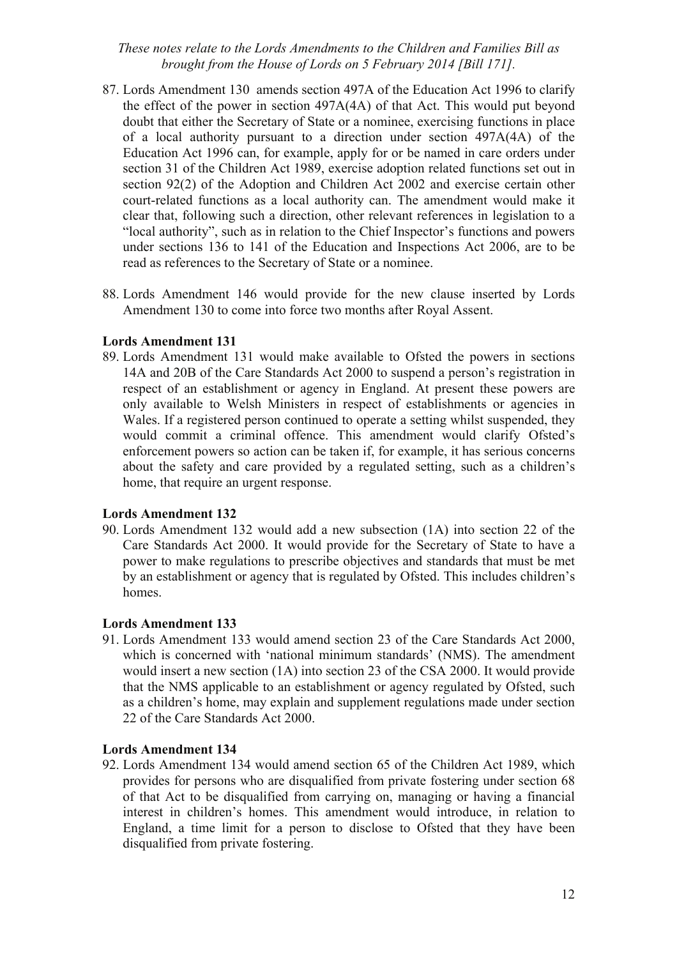- 87. Lords Amendment 130 amends section 497A of the Education Act 1996 to clarify the effect of the power in section 497A(4A) of that Act. This would put beyond doubt that either the Secretary of State or a nominee, exercising functions in place of a local authority pursuant to a direction under section 497A(4A) of the Education Act 1996 can, for example, apply for or be named in care orders under section 31 of the Children Act 1989, exercise adoption related functions set out in section 92(2) of the Adoption and Children Act 2002 and exercise certain other court-related functions as a local authority can. The amendment would make it clear that, following such a direction, other relevant references in legislation to a "local authority", such as in relation to the Chief Inspector's functions and powers under sections 136 to 141 of the Education and Inspections Act 2006, are to be read as references to the Secretary of State or a nominee.
- 88. Lords Amendment 146 would provide for the new clause inserted by Lords Amendment 130 to come into force two months after Royal Assent.

#### **Lords Amendment 131**

89. Lords Amendment 131 would make available to Ofsted the powers in sections 14A and 20B of the Care Standards Act 2000 to suspend a person's registration in respect of an establishment or agency in England. At present these powers are only available to Welsh Ministers in respect of establishments or agencies in Wales. If a registered person continued to operate a setting whilst suspended, they would commit a criminal offence. This amendment would clarify Ofsted's enforcement powers so action can be taken if, for example, it has serious concerns about the safety and care provided by a regulated setting, such as a children's home, that require an urgent response.

#### **Lords Amendment 132**

90. Lords Amendment 132 would add a new subsection (1A) into section 22 of the Care Standards Act 2000. It would provide for the Secretary of State to have a power to make regulations to prescribe objectives and standards that must be met by an establishment or agency that is regulated by Ofsted. This includes children's homes.

#### **Lords Amendment 133**

91. Lords Amendment 133 would amend section 23 of the Care Standards Act 2000, which is concerned with 'national minimum standards' (NMS). The amendment would insert a new section (1A) into section 23 of the CSA 2000. It would provide that the NMS applicable to an establishment or agency regulated by Ofsted, such as a children's home, may explain and supplement regulations made under section 22 of the Care Standards Act 2000.

#### **Lords Amendment 134**

92. Lords Amendment 134 would amend section 65 of the Children Act 1989, which provides for persons who are disqualified from private fostering under section 68 of that Act to be disqualified from carrying on, managing or having a financial interest in children's homes. This amendment would introduce, in relation to England, a time limit for a person to disclose to Ofsted that they have been disqualified from private fostering.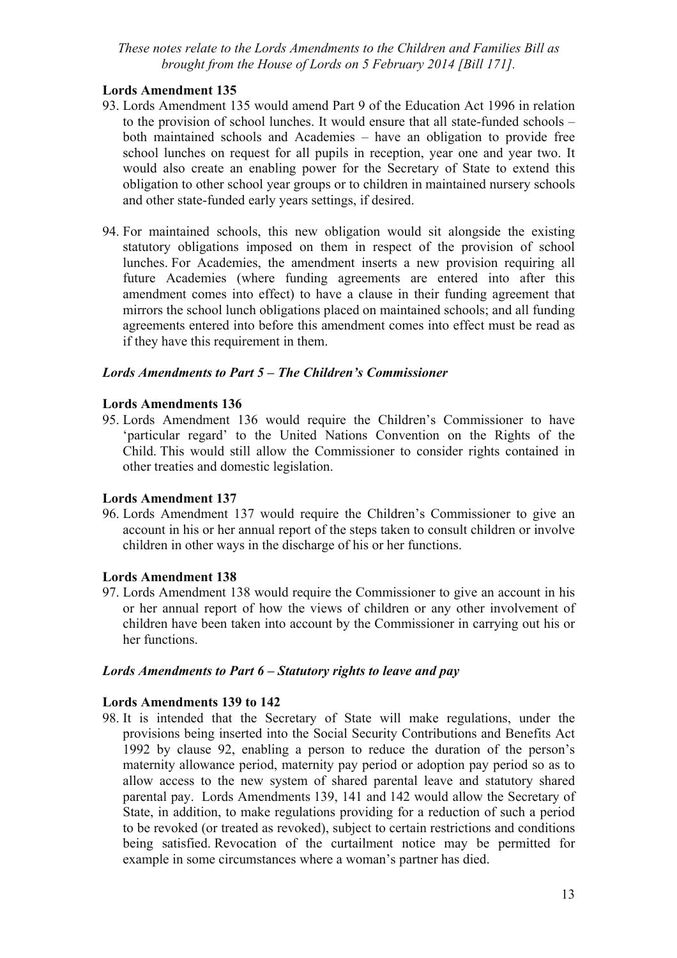# **Lords Amendment 135**

- 93. Lords Amendment 135 would amend Part 9 of the Education Act 1996 in relation to the provision of school lunches. It would ensure that all state-funded schools – both maintained schools and Academies – have an obligation to provide free school lunches on request for all pupils in reception, year one and year two. It would also create an enabling power for the Secretary of State to extend this obligation to other school year groups or to children in maintained nursery schools and other state-funded early years settings, if desired.
- 94. For maintained schools, this new obligation would sit alongside the existing statutory obligations imposed on them in respect of the provision of school lunches. For Academies, the amendment inserts a new provision requiring all future Academies (where funding agreements are entered into after this amendment comes into effect) to have a clause in their funding agreement that mirrors the school lunch obligations placed on maintained schools; and all funding agreements entered into before this amendment comes into effect must be read as if they have this requirement in them.

#### *Lords Amendments to Part 5 – The Children's Commissioner*

#### **Lords Amendments 136**

95. Lords Amendment 136 would require the Children's Commissioner to have 'particular regard' to the United Nations Convention on the Rights of the Child. This would still allow the Commissioner to consider rights contained in other treaties and domestic legislation.

#### **Lords Amendment 137**

96. Lords Amendment 137 would require the Children's Commissioner to give an account in his or her annual report of the steps taken to consult children or involve children in other ways in the discharge of his or her functions.

#### **Lords Amendment 138**

97. Lords Amendment 138 would require the Commissioner to give an account in his or her annual report of how the views of children or any other involvement of children have been taken into account by the Commissioner in carrying out his or her functions.

#### *Lords Amendments to Part 6 – Statutory rights to leave and pay*

#### **Lords Amendments 139 to 142**

98. It is intended that the Secretary of State will make regulations, under the provisions being inserted into the Social Security Contributions and Benefits Act 1992 by clause 92, enabling a person to reduce the duration of the person's maternity allowance period, maternity pay period or adoption pay period so as to allow access to the new system of shared parental leave and statutory shared parental pay. Lords Amendments 139, 141 and 142 would allow the Secretary of State, in addition, to make regulations providing for a reduction of such a period to be revoked (or treated as revoked), subject to certain restrictions and conditions being satisfied. Revocation of the curtailment notice may be permitted for example in some circumstances where a woman's partner has died.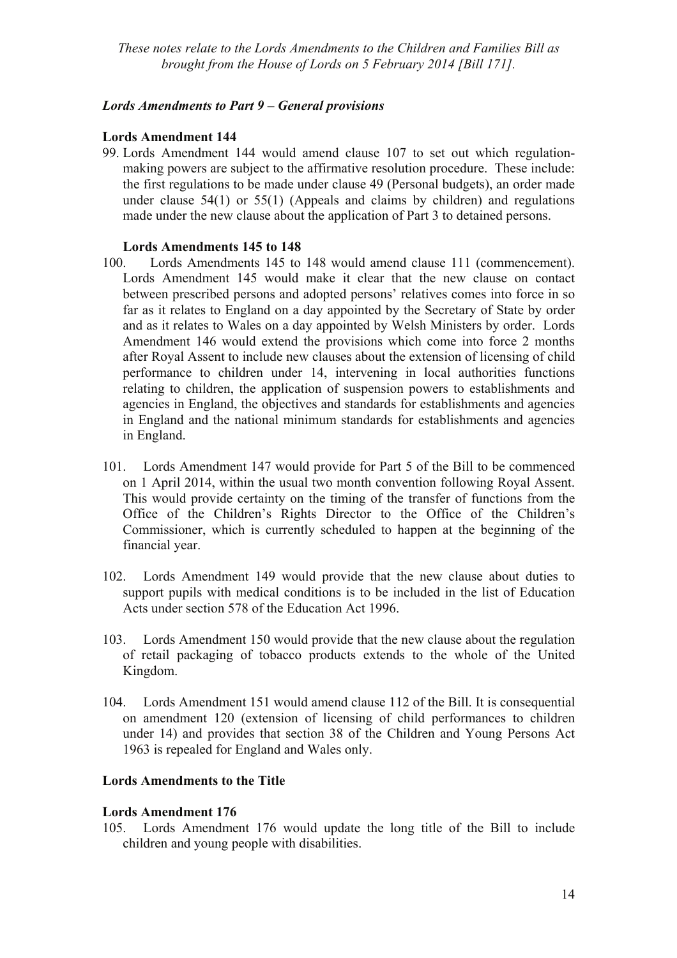# *Lords Amendments to Part 9 – General provisions*

# **Lords Amendment 144**

99. Lords Amendment 144 would amend clause 107 to set out which regulationmaking powers are subject to the affirmative resolution procedure. These include: the first regulations to be made under clause 49 (Personal budgets), an order made under clause 54(1) or 55(1) (Appeals and claims by children) and regulations made under the new clause about the application of Part 3 to detained persons.

# **Lords Amendments 145 to 148**

- 100. Lords Amendments 145 to 148 would amend clause 111 (commencement). Lords Amendment 145 would make it clear that the new clause on contact between prescribed persons and adopted persons' relatives comes into force in so far as it relates to England on a day appointed by the Secretary of State by order and as it relates to Wales on a day appointed by Welsh Ministers by order. Lords Amendment 146 would extend the provisions which come into force 2 months after Royal Assent to include new clauses about the extension of licensing of child performance to children under 14, intervening in local authorities functions relating to children, the application of suspension powers to establishments and agencies in England, the objectives and standards for establishments and agencies in England and the national minimum standards for establishments and agencies in England.
- 101. Lords Amendment 147 would provide for Part 5 of the Bill to be commenced on 1 April 2014, within the usual two month convention following Royal Assent. This would provide certainty on the timing of the transfer of functions from the Office of the Children's Rights Director to the Office of the Children's Commissioner, which is currently scheduled to happen at the beginning of the financial year.
- 102. Lords Amendment 149 would provide that the new clause about duties to support pupils with medical conditions is to be included in the list of Education Acts under section 578 of the Education Act 1996.
- 103. Lords Amendment 150 would provide that the new clause about the regulation of retail packaging of tobacco products extends to the whole of the United Kingdom.
- 104. Lords Amendment 151 would amend clause 112 of the Bill. It is consequential on amendment 120 (extension of licensing of child performances to children under 14) and provides that section 38 of the Children and Young Persons Act 1963 is repealed for England and Wales only.

# **Lords Amendments to the Title**

# **Lords Amendment 176**

105. Lords Amendment 176 would update the long title of the Bill to include children and young people with disabilities.